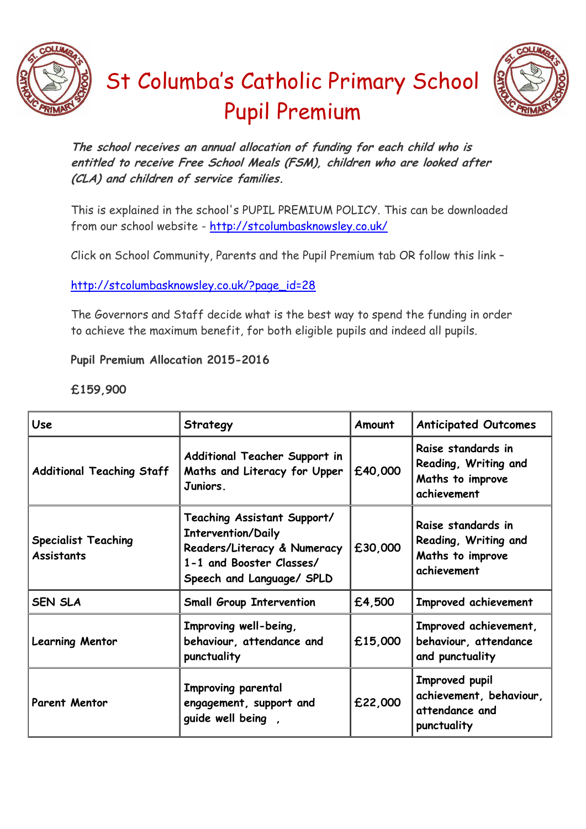



## St Columba's Catholic Primary School Pupil Premium

**The school receives an annual allocation of funding for each child who is entitled to receive Free School Meals (FSM), children who are looked after (CLA) and children of service families.**

This is explained in the school's PUPIL PREMIUM POLICY. This can be downloaded from our school website - <http://stcolumbasknowsley.co.uk/>

Click on School Community, Parents and the Pupil Premium tab OR follow this link –

[http://stcolumbasknowsley.co.uk/?page\\_id=28](http://stcolumbasknowsley.co.uk/?page_id=28)

The Governors and Staff decide what is the best way to spend the funding in order to achieve the maximum benefit, for both eligible pupils and indeed all pupils.

**Pupil Premium Allocation 2015-2016**

**£159,900**

| <b>Use</b>                                      | Strategy                                                                                                                                         | Amount  | <b>Anticipated Outcomes</b>                                                   |
|-------------------------------------------------|--------------------------------------------------------------------------------------------------------------------------------------------------|---------|-------------------------------------------------------------------------------|
| <b>Additional Teaching Staff</b>                | Additional Teacher Support in<br>Maths and Literacy for Upper<br>Juniors.                                                                        | £40,000 | Raise standards in<br>Reading, Writing and<br>Maths to improve<br>achievement |
| <b>Specialist Teaching</b><br><b>Assistants</b> | Teaching Assistant Support/<br><b>Intervention/Daily</b><br>Readers/Literacy & Numeracy<br>1-1 and Booster Classes/<br>Speech and Language/ SPLD | £30,000 | Raise standards in<br>Reading, Writing and<br>Maths to improve<br>achievement |
| <b>SEN SLA</b>                                  | <b>Small Group Intervention</b>                                                                                                                  | £4,500  | Improved achievement                                                          |
| <b>Learning Mentor</b>                          | Improving well-being,<br>behaviour, attendance and<br>punctuality                                                                                | £15,000 | Improved achievement,<br>behaviour, attendance<br>and punctuality             |
| Parent Mentor                                   | Improving parental<br>engagement, support and<br>guide well being,                                                                               | £22,000 | Improved pupil<br>achievement, behaviour,<br>attendance and<br>punctuality    |